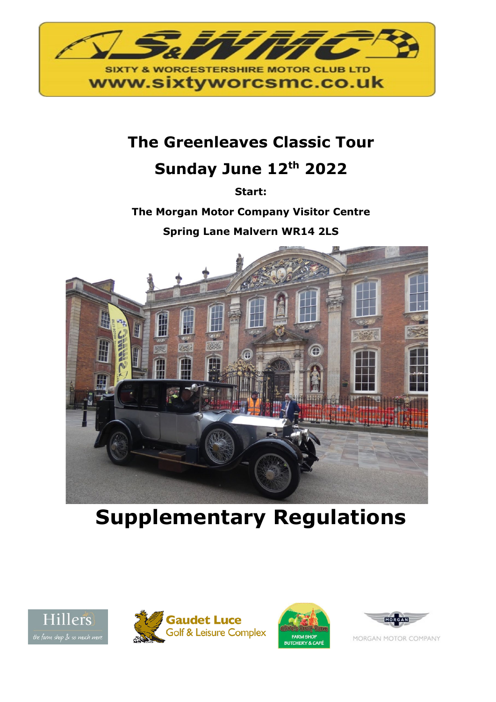

# **The Greenleaves Classic Tour**

# **Sunday June 12th 2022**

**Start:**

**The Morgan Motor Company Visitor Centre** 

**Spring Lane Malvern WR14 2LS**



**Supplementary Regulations**









MORGAN MOTOR COMPANY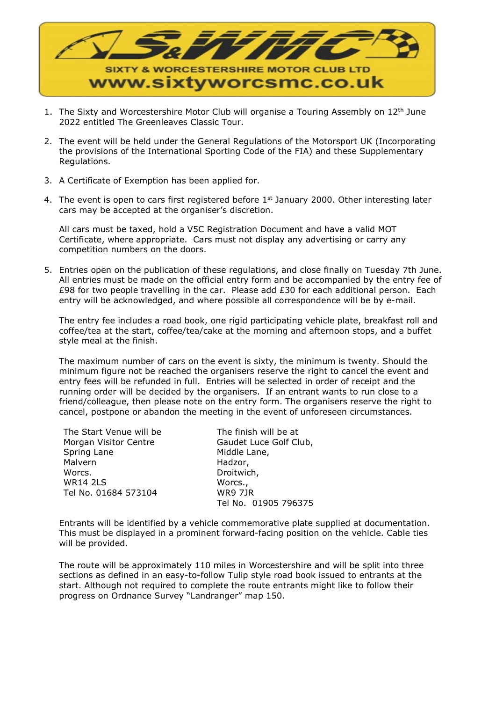

- 1. The Sixty and Worcestershire Motor Club will organise a Touring Assembly on  $12<sup>th</sup>$  June 2022 entitled The Greenleaves Classic Tour.
- 2. The event will be held under the General Regulations of the Motorsport UK (Incorporating the provisions of the International Sporting Code of the FIA) and these Supplementary Regulations.
- 3. A Certificate of Exemption has been applied for.
- 4. The event is open to cars first registered before  $1<sup>st</sup>$  January 2000. Other interesting later cars may be accepted at the organiser's discretion.

All cars must be taxed, hold a V5C Registration Document and have a valid MOT Certificate, where appropriate. Cars must not display any advertising or carry any competition numbers on the doors.

5. Entries open on the publication of these regulations, and close finally on Tuesday 7th June. All entries must be made on the official entry form and be accompanied by the entry fee of £98 for two people travelling in the car. Please add £30 for each additional person. Each entry will be acknowledged, and where possible all correspondence will be by e-mail.

The entry fee includes a road book, one rigid participating vehicle plate, breakfast roll and coffee/tea at the start, coffee/tea/cake at the morning and afternoon stops, and a buffet style meal at the finish.

The maximum number of cars on the event is sixty, the minimum is twenty. Should the minimum figure not be reached the organisers reserve the right to cancel the event and entry fees will be refunded in full. Entries will be selected in order of receipt and the running order will be decided by the organisers. If an entrant wants to run close to a friend/colleague, then please note on the entry form. The organisers reserve the right to cancel, postpone or abandon the meeting in the event of unforeseen circumstances.

The Start Venue will be Morgan Visitor Centre Spring Lane Malvern Worcs. WR14 2LS Tel No. 01684 573104

The finish will be at Gaudet Luce Golf Club, Middle Lane, Hadzor, Droitwich, Worcs., WR9 7JR Tel No. 01905 796375

Entrants will be identified by a vehicle commemorative plate supplied at documentation. This must be displayed in a prominent forward-facing position on the vehicle. Cable ties will be provided.

The route will be approximately 110 miles in Worcestershire and will be split into three sections as defined in an easy-to-follow Tulip style road book issued to entrants at the start. Although not required to complete the route entrants might like to follow their progress on Ordnance Survey "Landranger" map 150.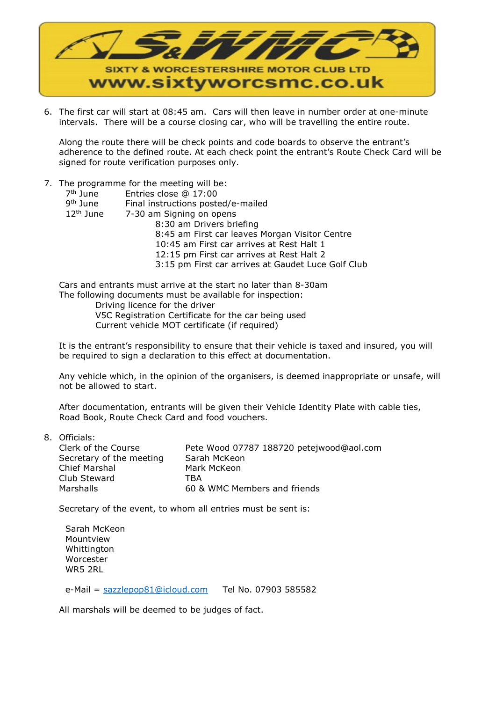

6. The first car will start at 08:45 am. Cars will then leave in number order at one-minute intervals. There will be a course closing car, who will be travelling the entire route.

Along the route there will be check points and code boards to observe the entrant's adherence to the defined route. At each check point the entrant's Route Check Card will be signed for route verification purposes only.

#### 7. The programme for the meeting will be:

| 7 <sup>th</sup> June | Entries close @ 17:00                              |
|----------------------|----------------------------------------------------|
| 9 <sup>th</sup> June | Final instructions posted/e-mailed                 |
| $12th$ June          | 7-30 am Signing on opens                           |
|                      | 8:30 am Drivers briefing                           |
|                      | 8:45 am First car leaves Morgan Visitor Centre     |
|                      | 10:45 am First car arrives at Rest Halt 1          |
|                      | 12:15 pm First car arrives at Rest Halt 2          |
|                      | 3:15 pm First car arrives at Gaudet Luce Golf Club |
|                      |                                                    |

Cars and entrants must arrive at the start no later than 8-30am The following documents must be available for inspection:

 Driving licence for the driver V5C Registration Certificate for the car being used Current vehicle MOT certificate (if required)

It is the entrant's responsibility to ensure that their vehicle is taxed and insured, you will be required to sign a declaration to this effect at documentation.

Any vehicle which, in the opinion of the organisers, is deemed inappropriate or unsafe, will not be allowed to start.

After documentation, entrants will be given their Vehicle Identity Plate with cable ties, Road Book, Route Check Card and food vouchers.

8. Officials:

| Clerk of the Course      | Pete Wood 07787 188720 petejwood@aol.com |
|--------------------------|------------------------------------------|
| Secretary of the meeting | Sarah McKeon                             |
| Chief Marshal            | Mark McKeon                              |
| Club Steward             | TRA                                      |
| Marshalls                | 60 & WMC Members and friends             |
|                          |                                          |

Secretary of the event, to whom all entries must be sent is:

Sarah McKeon Mountview Whittington Worcester WR5 2RL

e-Mail = [sazzlepop81@icloud.com](mailto:sazzlepop81@icloud.com) Tel No. 07903 585582

All marshals will be deemed to be judges of fact.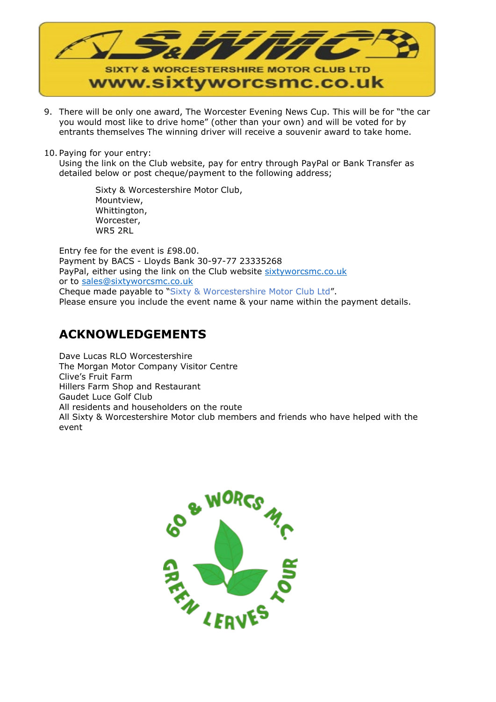

- 9. There will be only one award, The Worcester Evening News Cup. This will be for "the car you would most like to drive home" (other than your own) and will be voted for by entrants themselves The winning driver will receive a souvenir award to take home.
- 10. Paying for your entry:

Using the link on the Club website, pay for entry through PayPal or Bank Transfer as detailed below or post cheque/payment to the following address;

> Sixty & Worcestershire Motor Club, Mountview, Whittington, Worcester, WR5 2RL

Entry fee for the event is £98.00. Payment by BACS - Lloyds Bank 30-97-77 23335268 PayPal, either using the link on the Club website [sixtyworcsmc.co.uk](http://sixtyworcsmc.co.uk/clubevents.html) or to [sales@sixtyworcsmc.co.uk](mailto:sales@sixtyworcsmc.co.uk) Cheque made payable to "Sixty & Worcestershire Motor Club Ltd". Please ensure you include the event name & your name within the payment details.

## **ACKNOWLEDGEMENTS**

Dave Lucas RLO Worcestershire The Morgan Motor Company Visitor Centre Clive's Fruit Farm Hillers Farm Shop and Restaurant Gaudet Luce Golf Club All residents and householders on the route All Sixty & Worcestershire Motor club members and friends who have helped with the event

![](_page_3_Picture_8.jpeg)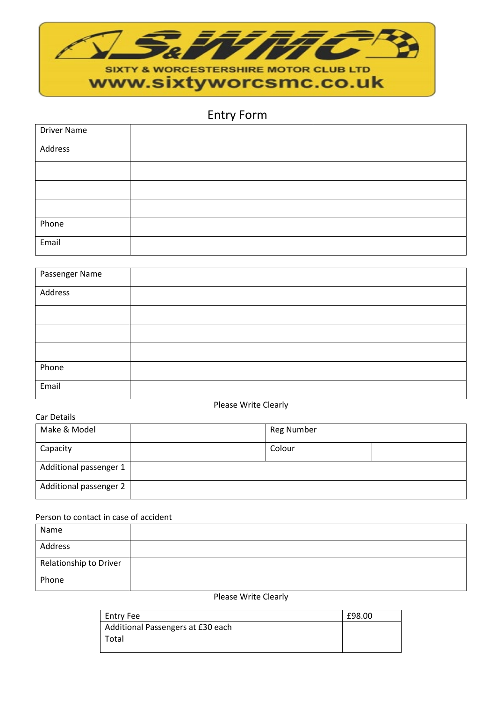![](_page_4_Picture_0.jpeg)

# Entry Form

| <b>Driver Name</b> |  |
|--------------------|--|
| Address            |  |
|                    |  |
|                    |  |
|                    |  |
| Phone              |  |
| Email              |  |

| Passenger Name |  |
|----------------|--|
| Address        |  |
|                |  |
|                |  |
|                |  |
| Phone          |  |
| Email          |  |

### Car Details

Please Write Clearly

| Car Detans             |  |                   |  |
|------------------------|--|-------------------|--|
| Make & Model           |  | <b>Reg Number</b> |  |
| Capacity               |  | Colour            |  |
| Additional passenger 1 |  |                   |  |
| Additional passenger 2 |  |                   |  |

## Person to contact in case of accident

| Name                   |  |
|------------------------|--|
| Address                |  |
| Relationship to Driver |  |
| Phone                  |  |

#### Please Write Clearly

| Entry Fee                         | £98.00 |
|-----------------------------------|--------|
| Additional Passengers at £30 each |        |
| Total                             |        |